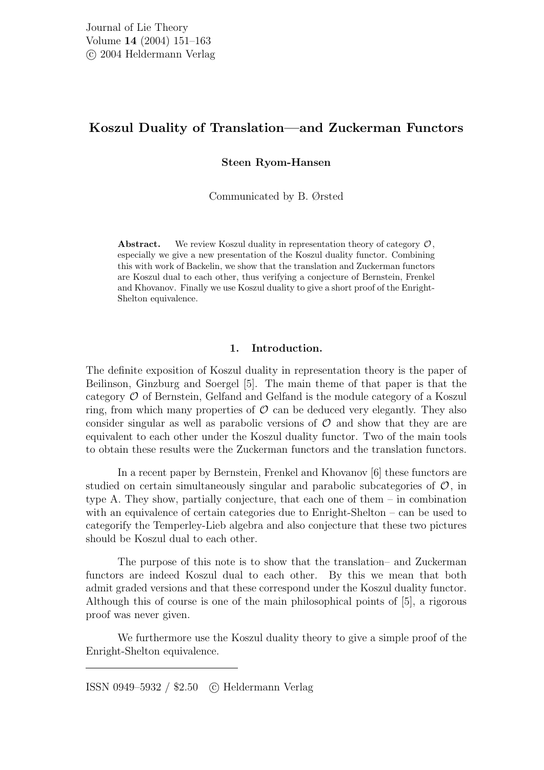# Koszul Duality of Translation—and Zuckerman Functors

Steen Ryom-Hansen

Communicated by B. Ørsted

**Abstract.** We review Koszul duality in representation theory of category  $\mathcal{O}$ . especially we give a new presentation of the Koszul duality functor. Combining this with work of Backelin, we show that the translation and Zuckerman functors are Koszul dual to each other, thus verifying a conjecture of Bernstein, Frenkel and Khovanov. Finally we use Koszul duality to give a short proof of the Enright-Shelton equivalence.

### 1. Introduction.

The definite exposition of Koszul duality in representation theory is the paper of Beilinson, Ginzburg and Soergel [5]. The main theme of that paper is that the category O of Bernstein, Gelfand and Gelfand is the module category of a Koszul ring, from which many properties of  $\mathcal O$  can be deduced very elegantly. They also consider singular as well as parabolic versions of  $\mathcal O$  and show that they are are equivalent to each other under the Koszul duality functor. Two of the main tools to obtain these results were the Zuckerman functors and the translation functors.

In a recent paper by Bernstein, Frenkel and Khovanov [6] these functors are studied on certain simultaneously singular and parabolic subcategories of  $\mathcal{O}$ , in type A. They show, partially conjecture, that each one of them – in combination with an equivalence of certain categories due to Enright-Shelton – can be used to categorify the Temperley-Lieb algebra and also conjecture that these two pictures should be Koszul dual to each other.

The purpose of this note is to show that the translation– and Zuckerman functors are indeed Koszul dual to each other. By this we mean that both admit graded versions and that these correspond under the Koszul duality functor. Although this of course is one of the main philosophical points of [5], a rigorous proof was never given.

We furthermore use the Koszul duality theory to give a simple proof of the Enright-Shelton equivalence.

ISSN 0949–5932 / \$2.50 c Heldermann Verlag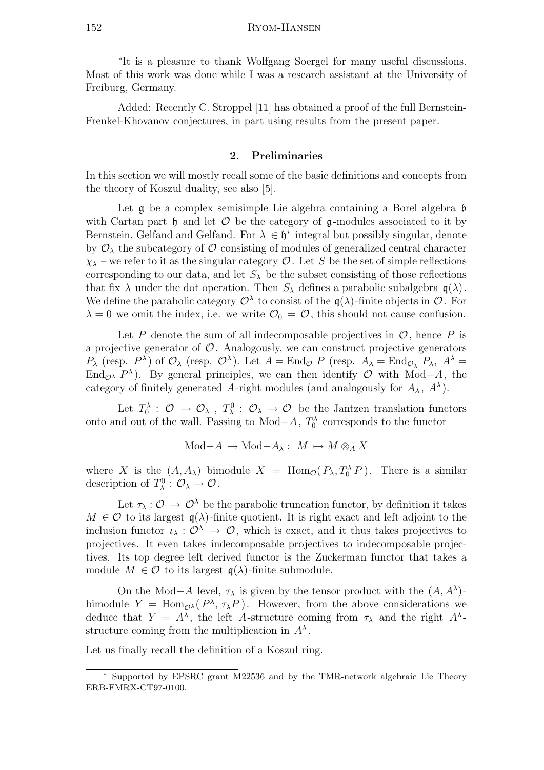∗ It is a pleasure to thank Wolfgang Soergel for many useful discussions. Most of this work was done while I was a research assistant at the University of Freiburg, Germany.

Added: Recently C. Stroppel [11] has obtained a proof of the full Bernstein-Frenkel-Khovanov conjectures, in part using results from the present paper.

# 2. Preliminaries

In this section we will mostly recall some of the basic definitions and concepts from the theory of Koszul duality, see also [5].

Let  $\mathfrak g$  be a complex semisimple Lie algebra containing a Borel algebra  $\mathfrak b$ with Cartan part  $\mathfrak h$  and let  $\mathcal O$  be the category of  $\mathfrak q$ -modules associated to it by Bernstein, Gelfand and Gelfand. For  $\lambda \in \mathfrak{h}^*$  integral but possibly singular, denote by  $\mathcal{O}_{\lambda}$  the subcategory of  $\mathcal O$  consisting of modules of generalized central character  $\chi_{\lambda}$  – we refer to it as the singular category  $\mathcal{O}$ . Let S be the set of simple reflections corresponding to our data, and let  $S_{\lambda}$  be the subset consisting of those reflections that fix  $\lambda$  under the dot operation. Then  $S_{\lambda}$  defines a parabolic subalgebra  $q(\lambda)$ . We define the parabolic category  $\mathcal{O}^{\lambda}$  to consist of the  $\mathfrak{q}(\lambda)$ -finite objects in  $\mathcal{O}$ . For  $\lambda = 0$  we omit the index, i.e. we write  $\mathcal{O}_0 = \mathcal{O}$ , this should not cause confusion.

Let P denote the sum of all indecomposable projectives in  $\mathcal{O}$ , hence P is a projective generator of  $\mathcal{O}$ . Analogously, we can construct projective generators  $P_{\lambda}$  (resp.  $P^{\lambda}$ ) of  $\mathcal{O}_{\lambda}$  (resp.  $\mathcal{O}^{\lambda}$ ). Let  $A = \text{End}_{\mathcal{O}} P$  (resp.  $A_{\lambda} = \text{End}_{\mathcal{O}_{\lambda}} P_{\lambda}$ ,  $A^{\lambda} =$ End<sub> $\mathcal{O}^{\lambda}$ </sub> P<sup> $\lambda$ </sup>). By general principles, we can then identify  $\mathcal{O}$  with Mod–A, the category of finitely generated A-right modules (and analogously for  $A_{\lambda}$ ,  $A^{\lambda}$ ).

Let  $T_0^{\lambda}$ :  $\mathcal{O} \to \mathcal{O}_{\lambda}$ ,  $T_{\lambda}^0$ :  $\mathcal{O}_{\lambda} \to \mathcal{O}$  be the Jantzen translation functors onto and out of the wall. Passing to Mod $-A$ ,  $T_0^{\lambda}$  corresponds to the functor

$$
\mathrm{Mod-}A\, \to\, \mathrm{Mod-}A_\lambda:\,\, M\, \mapsto M\otimes_A X
$$

where X is the  $(A, A_\lambda)$  bimodule  $X = \text{Hom}_{\mathcal{O}}(P_\lambda, T_0^\lambda P)$ . There is a similar description of  $T_{\lambda}^0$  :  $\mathcal{O}_{\lambda} \to \mathcal{O}$ .

Let  $\tau_{\lambda}: \mathcal{O} \to \mathcal{O}^{\lambda}$  be the parabolic truncation functor, by definition it takes  $M \in \mathcal{O}$  to its largest  $\mathfrak{q}(\lambda)$ -finite quotient. It is right exact and left adjoint to the inclusion functor  $\iota_{\lambda}: \mathcal{O}^{\lambda} \to \mathcal{O}$ , which is exact, and it thus takes projectives to projectives. It even takes indecomposable projectives to indecomposable projectives. Its top degree left derived functor is the Zuckerman functor that takes a module  $M \in \mathcal{O}$  to its largest  $\mathfrak{q}(\lambda)$ -finite submodule.

On the Mod–A level,  $\tau_{\lambda}$  is given by the tensor product with the  $(A, A^{\lambda})$ bimodule  $Y = \text{Hom}_{\mathcal{O}^{\lambda}}(P^{\lambda}, \tau_{\lambda}P)$ . However, from the above considerations we deduce that  $Y = A^{\lambda}$ , the left A-structure coming from  $\tau_{\lambda}$  and the right  $A^{\lambda}$ structure coming from the multiplication in  $A^{\lambda}$ .

Let us finally recall the definition of a Koszul ring.

<sup>∗</sup> Supported by EPSRC grant M22536 and by the TMR-network algebraic Lie Theory ERB-FMRX-CT97-0100.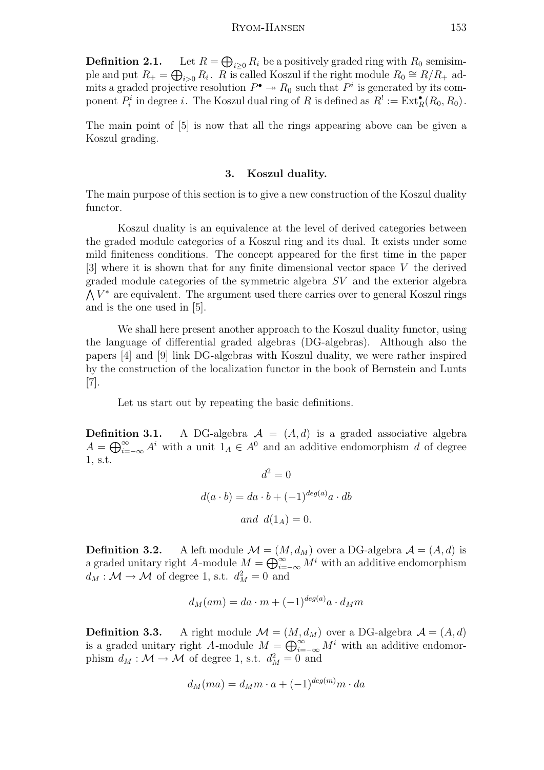### Ryom-Hansen 153

Definition 2.1.  $\bigoplus_{i\geq 0} R_i$  be a positively graded ring with  $R_0$  semisimple and put  $R_+ = \bigoplus_{i>0} R_i$ . R is called Koszul if the right module  $R_0 \cong R/R_+$  admits a graded projective resolution  $P^{\bullet} \to R_0$  such that  $P^i$  is generated by its component  $P_i^i$  in degree i. The Koszul dual ring of R is defined as  $R^! := \text{Ext}^{\bullet}_R(R_0, R_0)$ .

The main point of [5] is now that all the rings appearing above can be given a Koszul grading.

#### 3. Koszul duality.

The main purpose of this section is to give a new construction of the Koszul duality functor.

Koszul duality is an equivalence at the level of derived categories between the graded module categories of a Koszul ring and its dual. It exists under some mild finiteness conditions. The concept appeared for the first time in the paper [3] where it is shown that for any finite dimensional vector space V the derived graded module categories of the symmetric algebra SV and the exterior algebra  $\bigwedge V^*$  are equivalent. The argument used there carries over to general Koszul rings and is the one used in [5].

We shall here present another approach to the Koszul duality functor, using the language of differential graded algebras (DG-algebras). Although also the papers [4] and [9] link DG-algebras with Koszul duality, we were rather inspired by the construction of the localization functor in the book of Bernstein and Lunts [7].

Let us start out by repeating the basic definitions.

**Definition 3.1.** A DG-algebra  $A = (A, d)$  is a graded associative algebra  $A = \bigoplus_{i=-\infty}^{\infty} A^i$  with a unit  $I_A \in A^0$  and an additive endomorphism d of degree 1, s.t.

$$
d^{2} = 0
$$
  

$$
d(a \cdot b) = da \cdot b + (-1)^{deg(a)}a \cdot db
$$
  
and 
$$
d(1_{A}) = 0.
$$

**Definition 3.2.** A left module  $\mathcal{M} = (M, d_M)$  over a DG-algebra  $\mathcal{A} = (A, d)$  is a graded unitary right A-module  $M = \bigoplus_{i=-\infty}^{\infty} M^i$  with an additive endomorphism  $d_M : \mathcal{M} \to \mathcal{M}$  of degree 1, s.t.  $d_M^2 = 0$  and

$$
d_M(am)=da\cdot m+(-1)^{deg(a)}a\cdot d_Mm
$$

**Definition 3.3.** A right module  $\mathcal{M} = (M, d_M)$  over a DG-algebra  $\mathcal{A} = (A, d)$ is a graded unitary right A-module  $M = \bigoplus_{i=-\infty}^{\infty} M^i$  with an additive endomorphism  $d_M : \mathcal{M} \to \mathcal{M}$  of degree 1, s.t.  $d_M^2 = 0$  and

$$
d_M(ma) = d_M m \cdot a + (-1)^{deg(m)} m \cdot da
$$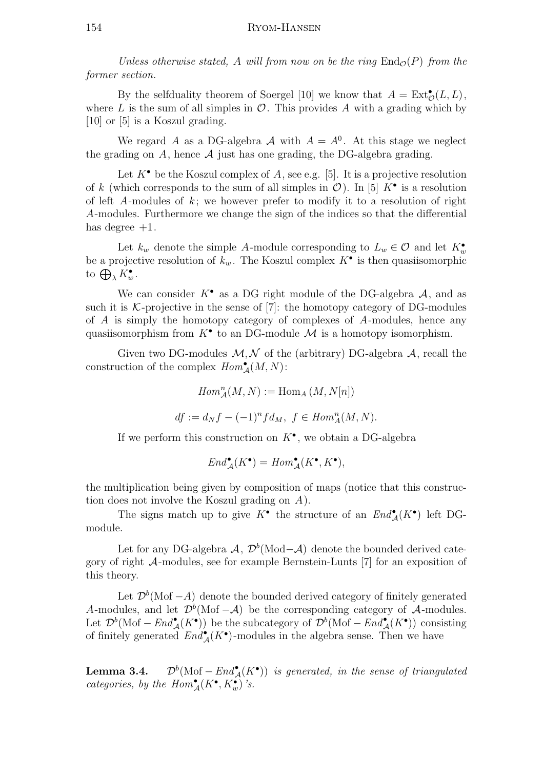Unless otherwise stated, A will from now on be the ring  $\text{End}_{\mathcal{O}}(P)$  from the former section.

By the selfduality theorem of Soergel [10] we know that  $A = \text{Ext}^{\bullet}_{\mathcal{O}}(L, L)$ , where L is the sum of all simples in  $\mathcal{O}$ . This provides A with a grading which by [10] or [5] is a Koszul grading.

We regard A as a DG-algebra  $\mathcal A$  with  $A = A^0$ . At this stage we neglect the grading on A, hence  $A$  just has one grading, the DG-algebra grading.

Let  $K^{\bullet}$  be the Koszul complex of A, see e.g. [5]. It is a projective resolution of k (which corresponds to the sum of all simples in  $\mathcal{O}$ ). In [5]  $K^{\bullet}$  is a resolution of left A-modules of  $k$ ; we however prefer to modify it to a resolution of right A-modules. Furthermore we change the sign of the indices so that the differential has degree  $+1$ .

Let  $k_w$  denote the simple A-module corresponding to  $L_w \in \mathcal{O}$  and let  $K_w^{\bullet}$ be a projective resolution of  $k_w$ . The Koszul complex  $K^{\bullet}$  is then quasiisomorphic to  $\bigoplus_{\lambda} K_w^{\bullet}$ .

We can consider  $K^{\bullet}$  as a DG right module of the DG-algebra  $A$ , and as such it is  $\mathcal{K}\text{-projective}$  in the sense of [7]: the homotopy category of DG-modules of  $A$  is simply the homotopy category of complexes of  $A$ -modules, hence any quasiisomorphism from  $K^{\bullet}$  to an DG-module  $\mathcal M$  is a homotopy isomorphism.

Given two DG-modules  $M, N$  of the (arbitrary) DG-algebra  $A$ , recall the construction of the complex  $Hom_{\mathcal{A}}^{\bullet}(M, N)$ :

$$
Hom_{\mathcal{A}}^{n}(M, N) := \text{Hom}_{A}(M, N[n])
$$

$$
df := d_N f - (-1)^n f d_M, \ f \in Hom_A^n(M, N).
$$

If we perform this construction on  $K^{\bullet}$ , we obtain a DG-algebra

$$
End_{\mathcal{A}}^{\bullet}(K^{\bullet})=Hom_{\mathcal{A}}^{\bullet}(K^{\bullet},K^{\bullet}),
$$

the multiplication being given by composition of maps (notice that this construction does not involve the Koszul grading on A).

The signs match up to give  $K^{\bullet}$  the structure of an  $End_{\mathcal{A}}^{\bullet}(K^{\bullet})$  left DGmodule.

Let for any DG-algebra  $\mathcal{A}, \ \mathcal{D}^b(\text{Mod} - \mathcal{A})$  denote the bounded derived category of right A-modules, see for example Bernstein-Lunts [7] for an exposition of this theory.

Let  $\mathcal{D}^b(\text{Mof } -A)$  denote the bounded derived category of finitely generated A-modules, and let  $\mathcal{D}^b(\text{Mof } -\mathcal{A})$  be the corresponding category of  $\mathcal{A}$ -modules. Let  $\mathcal{D}^b(\text{Mof } -\text{End}_{\mathcal{A}}^{\bullet}(K^{\bullet}))$  be the subcategory of  $\mathcal{D}^b(\text{Mof } -\text{End}_{\mathcal{A}}^{\bullet}(K^{\bullet}))$  consisting of finitely generated  $End_{\mathcal{A}}^{\bullet}(K^{\bullet})$ -modules in the algebra sense. Then we have

Lemma 3.4.  $(\text{Mof } -\text{End}_{\mathcal{A}}^{\bullet}(K^{\bullet}))$  is generated, in the sense of triangulated categories, by the  $Hom_{\mathcal{A}}^{\bullet}(K^{\bullet}, K^{\bullet}_{w})$ 's.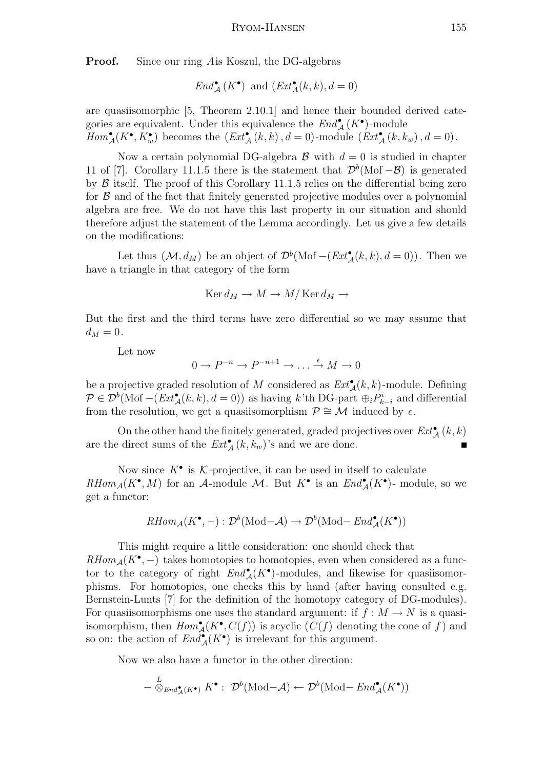**Proof.** Since our ring Ais Koszul, the DG-algebras

$$
End^{\bullet}_{\mathcal{A}}(K^{\bullet}) \text{ and } (Ext^{\bullet}_{A}(k,k), d = 0)
$$

are quasiisomorphic [5, Theorem 2.10.1] and hence their bounded derived categories are equivalent. Under this equivalence the  $End^{\bullet}_{\mathcal{A}}(K^{\bullet})$ -module  $Hom_{\mathcal{A}}^{\bullet}(K^{\bullet}, K^{\bullet}_{w})$  becomes the  $(Ext_{\mathcal{A}}^{\bullet}(k, k), d = 0)$ -module  $(Ext_{\mathcal{A}}^{\bullet}(k, k_{w}), d = 0)$ .

Now a certain polynomial DG-algebra  $\beta$  with  $d=0$  is studied in chapter 11 of [7]. Corollary 11.1.5 there is the statement that  $\mathcal{D}^b(\text{Mof } -\mathcal{B})$  is generated by  $\beta$  itself. The proof of this Corollary 11.1.5 relies on the differential being zero for  $\beta$  and of the fact that finitely generated projective modules over a polynomial algebra are free. We do not have this last property in our situation and should therefore adjust the statement of the Lemma accordingly. Let us give a few details on the modifications:

Let thus  $(\mathcal{M}, d_M)$  be an object of  $\mathcal{D}^b(\text{Mof}-(Ext_{\mathcal{A}}^{\bullet}(k, k), d = 0)).$  Then we have a triangle in that category of the form

$$
Ker d_M \to M \to M/Ker d_M \to
$$

But the first and the third terms have zero differential so we may assume that  $d_M = 0.$ 

Let now

$$
0 \to P^{-n} \to P^{-n+1} \to \dots \xrightarrow{\epsilon} M \to 0
$$

be a projective graded resolution of M considered as  $\text{Ext}_{\mathcal{A}}^{\bullet}(k,k)$ -module. Defining  $\mathcal{P} \in \mathcal{D}^b(\text{Mof } -(Ext_{\mathcal{A}}^{\bullet}(k,k), d=0))$  as having k'th DG-part  $\oplus_i P_{k-i}^i$  and differential from the resolution, we get a quasiisomorphism  $\mathcal{P} \cong \mathcal{M}$  induced by  $\epsilon$ .

On the other hand the finitely generated, graded projectives over  $\mathit{Ext}^\bullet_{\mathcal{A}}(k,k)$ are the direct sums of the  $\text{Ext}_{\mathcal{A}}^{\bullet}(k, k_w)$ 's and we are done.

Now since  $K^{\bullet}$  is K-projective, it can be used in itself to calculate  $RHom_{\mathcal{A}}(K^{\bullet}, M)$  for an A-module M. But  $K^{\bullet}$  is an  $End_{\mathcal{A}}^{\bullet}(K^{\bullet})$ - module, so we get a functor:

$$
RHom_{\mathcal{A}}(K^{\bullet}, -): \mathcal{D}^b(\mathrm{Mod-}\mathcal{A}) \to \mathcal{D}^b(\mathrm{Mod-}\mathit{End}_{\mathcal{A}}^{\bullet}(K^{\bullet}))
$$

This might require a little consideration: one should check that  $RHom_{\mathcal{A}}(K^{\bullet}, -)$  takes homotopies to homotopies, even when considered as a functor to the category of right  $End_{\mathcal{A}}^{\bullet}(K^{\bullet})$ -modules, and likewise for quasiisomorphisms. For homotopies, one checks this by hand (after having consulted e.g. Bernstein-Lunts [7] for the definition of the homotopy category of DG-modules). For quasiisomorphisms one uses the standard argument: if  $f : M \to N$  is a quasiisomorphism, then  $Hom_{\mathcal{A}}^{\bullet}(K^{\bullet}, C(f))$  is acyclic  $(C(f)$  denoting the cone of f and so on: the action of  $End_{\mathcal{A}}^{\bullet}(K^{\bullet})$  is irrelevant for this argument.

Now we also have a functor in the other direction:

$$
- \overset{L}{\otimes}_{End^{\bullet}_{\mathcal{A}}(K^{\bullet})} K^{\bullet} : \mathcal{D}^{b}(\mathrm{Mod-}\mathcal{A}) \leftarrow \mathcal{D}^{b}(\mathrm{Mod-}\mathit{End}^{\bullet}_{\mathcal{A}}(K^{\bullet}))
$$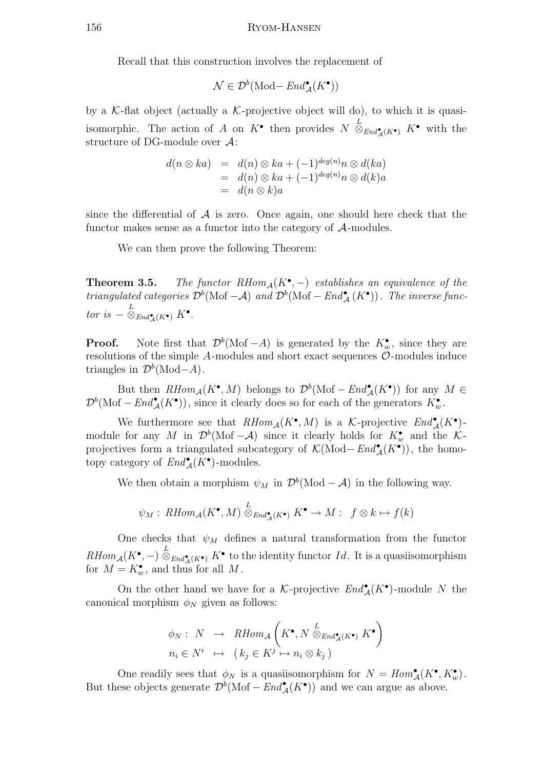Recall that this construction involves the replacement of

$$
\mathcal{N}\in \mathcal{D}^b(\mathrm{Mod}\!-\mathit{End}^\bullet_{\mathcal{A}}(K^\bullet))
$$

by a  $K$ -flat object (actually a  $K$ -projective object will do), to which it is quasiisomorphic. The action of A on  $K^{\bullet}$  then provides  $N \overset{L}{\otimes}_{End^{\bullet}_{\mathcal{A}}(K^{\bullet})} K^{\bullet}$  with the structure of DG-module over A:

$$
d(n \otimes ka) = d(n) \otimes ka + (-1)^{deg(n)}n \otimes d(ka)
$$
  
=  $d(n) \otimes ka + (-1)^{deg(n)}n \otimes d(k)a$   
=  $d(n \otimes k)a$ 

since the differential of  $A$  is zero. Once again, one should here check that the functor makes sense as a functor into the category of  $A$ -modules.

We can then prove the following Theorem:

**Theorem 3.5.** The functor  $RHom_{\mathcal{A}}(K^{\bullet}, -)$  establishes an equivalence of the triangulated categories  $\mathcal{D}^b(\text{Mof } -\mathcal{A})$  and  $\mathcal{D}^b(\text{Mof } -\text{End}_{\mathcal{A}}^{\bullet}(K^{\bullet}))$ . The inverse functor is  $-\otimes_{End_{\mathcal{A}}^{\bullet}(K^{\bullet})} K^{\bullet}$ .

**Proof.** Note first that  $\mathcal{D}^b(\text{Mof } -A)$  is generated by the  $K_w^{\bullet}$ , since they are resolutions of the simple  $A$ -modules and short exact sequences  $O$ -modules induce triangles in  $\mathcal{D}^b(\text{Mod}-A)$ .

But then  $RHom_{\mathcal{A}}(K^{\bullet}, M)$  belongs to  $\mathcal{D}^{b}(\text{Mof } - End^{\bullet}_{\mathcal{A}}(K^{\bullet}))$  for any  $M \in$  $\mathcal{D}^b(\text{Mof } -\text{End}_{\mathcal{A}}^{\bullet}(K^{\bullet}))$ , since it clearly does so for each of the generators  $K_w^{\bullet}$ .

We furthermore see that  $RHom_{\mathcal{A}}(K^{\bullet}, M)$  is a K-projective  $End_{\mathcal{A}}^{\bullet}(K^{\bullet})$ module for any M in  $\mathcal{D}^b(\text{Mof } -\mathcal{A})$  since it clearly holds for  $K_w^{\bullet}$  and the Kprojectives form a triangulated subcategory of  $\mathcal{K}(\text{Mod}-\text{End}_{\mathcal{A}}^{\bullet}(K^{\bullet}))$ , the homotopy category of  $\text{End}_{\mathcal{A}}^{\bullet}(K^{\bullet})$ -modules.

We then obtain a morphism  $\psi_M$  in  $\mathcal{D}^b(\text{Mod} - \mathcal{A})$  in the following way.

$$
\psi_M: \, R\text{Hom}_{\mathcal{A}}(K^{\bullet}, M) \stackrel{L}{\otimes}_{\text{End}_{\mathcal{A}}^{\bullet}(K^{\bullet})} K^{\bullet} \to M: \ f \otimes k \mapsto f(k)
$$

One checks that  $\psi_M$  defines a natural transformation from the functor  $RHom_{\mathcal{A}}(K^{\bullet}, -) \overset{L}{\otimes}_{End_{\mathcal{A}}^{\bullet}(K^{\bullet})} K^{\bullet}$  to the identity functor  $Id$ . It is a quasiisomorphism for  $M = K_w^{\bullet}$ , and thus for all M.

On the other hand we have for a K-projective  $End_{\mathcal{A}}^{\bullet}(K^{\bullet})$ -module N the canonical morphism  $\phi_N$  given as follows:

$$
\phi_N: N \to \text{RHom}_{\mathcal{A}}\left(K^{\bullet}, N \stackrel{L}{\otimes}_{\text{End}_{\mathcal{A}}^{\bullet}(K^{\bullet})} K^{\bullet}\right)
$$

$$
n_i \in N^i \mapsto (k_j \in K^j \mapsto n_i \otimes k_j)
$$

One readily sees that  $\phi_N$  is a quasiisomorphism for  $N = Hom^{\bullet}_{\mathcal{A}}(K^{\bullet}, K^{\bullet}_{w}).$ But these objects generate  $\mathcal{D}^b(\text{Mof} - \text{End}_{\mathcal{A}}^{\bullet}(K^{\bullet}))$  and we can argue as above.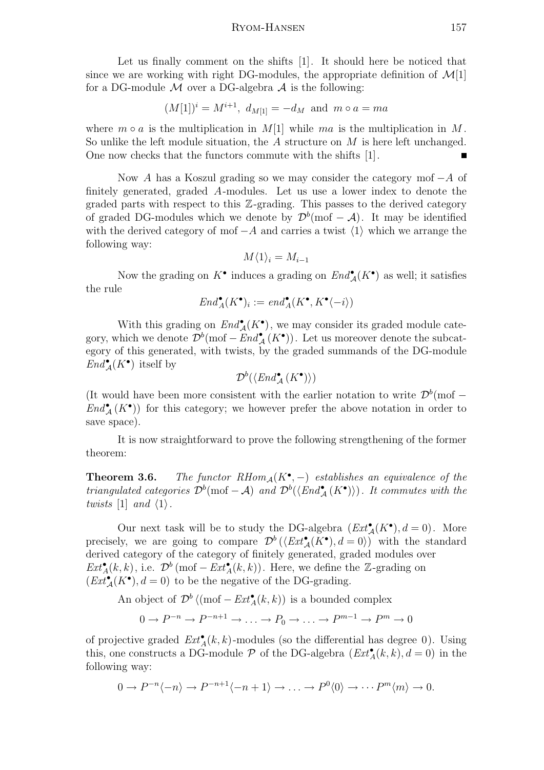Let us finally comment on the shifts [1]. It should here be noticed that since we are working with right DG-modules, the appropriate definition of  $\mathcal{M}[1]$ for a DG-module  $\mathcal M$  over a DG-algebra  $\mathcal A$  is the following:

$$
(M[1])^i = M^{i+1}
$$
,  $d_{M[1]} = -d_M$  and  $m \circ a = ma$ 

where  $m \circ a$  is the multiplication in  $M[1]$  while ma is the multiplication in M. So unlike the left module situation, the  $A$  structure on  $M$  is here left unchanged. One now checks that the functors commute with the shifts [1].

Now A has a Koszul grading so we may consider the category mof  $-A$  of finitely generated, graded A-modules. Let us use a lower index to denote the graded parts with respect to this Z-grading. This passes to the derived category of graded DG-modules which we denote by  $\mathcal{D}^{b}(\text{mof} - \mathcal{A})$ . It may be identified with the derived category of mof  $-A$  and carries a twist  $\langle 1 \rangle$  which we arrange the following way:

$$
M\langle 1 \rangle_i = M_{i-1}
$$

Now the grading on  $K^{\bullet}$  induces a grading on  $End_{\mathcal{A}}^{\bullet}(K^{\bullet})$  as well; it satisfies the rule

$$
End^{\bullet}_{A}(K^{\bullet})_{i}:=\mathit{end}^{\bullet}_{A}(K^{\bullet},K^{\bullet}\langle -i\rangle)
$$

With this grading on  $End_{\mathcal{A}}^{\bullet}(K^{\bullet})$ , we may consider its graded module category, which we denote  $\mathcal{D}^b(\text{mof}-\text{End}_{\mathcal{A}}^{\bullet}(K^{\bullet}))$ . Let us moreover denote the subcategory of this generated, with twists, by the graded summands of the DG-module  $End_{\mathcal{A}}^{\bullet}(K^{\bullet})$  itself by

$$
\mathcal{D}^b(\langle End_{\mathcal{A}}^{\bullet}(K^{\bullet})\rangle)
$$

(It would have been more consistent with the earlier notation to write  $\mathcal{D}^b(\text{mod } End^{\bullet}_{\mathcal{A}}(K^{\bullet})$  for this category; we however prefer the above notation in order to save space).

It is now straightforward to prove the following strengthening of the former theorem:

**Theorem 3.6.** The functor  $RHom_A(K^{\bullet},-)$  establishes an equivalence of the triangulated categories  $\mathcal{D}^b(\text{mod } -\mathcal{A})$  and  $\mathcal{D}^b(\langle End_{\mathcal{A}}^{\bullet}(K^{\bullet})\rangle)$ . It commutes with the twists [1] and  $\langle 1 \rangle$ .

Our next task will be to study the DG-algebra  $(Ext_{\mathcal{A}}^{\bullet}(K^{\bullet}), d = 0)$ . More precisely, we are going to compare  $\mathcal{D}^b(\langle Ext^{\bullet}_{\mathcal{A}}(K^{\bullet}), d=0\rangle)$  with the standard derived category of the category of finitely generated, graded modules over  $Ext_{A}^{\bullet}(k, k)$ , i.e.  $\mathcal{D}^{b}(\text{mof}-Ext_{A}^{\bullet}(k, k))$ . Here, we define the Z-grading on  $(Ext_{\mathcal{A}}^{\bullet}(K^{\bullet}), d = 0)$  to be the negative of the DG-grading.

An object of  $\mathcal{D}^b$  ((mof –  $Ext_A^{\bullet}(k,k)$ ) is a bounded complex

 $0 \to P^{-n} \to P^{-n+1} \to \ldots \to P_0 \to \ldots \to P^{m-1} \to P^m \to 0$ 

of projective graded  $Ext_A^{\bullet}(k, k)$ -modules (so the differential has degree 0). Using this, one constructs a DG-module  $P$  of the DG-algebra  $(Ext_A^{\bullet}(k, k), d = 0)$  in the following way:

 $0 \to P^{-n}\langle -n \rangle \to P^{-n+1}\langle -n+1 \rangle \to \ldots \to P^0\langle 0 \rangle \to \cdots P^m\langle m \rangle \to 0.$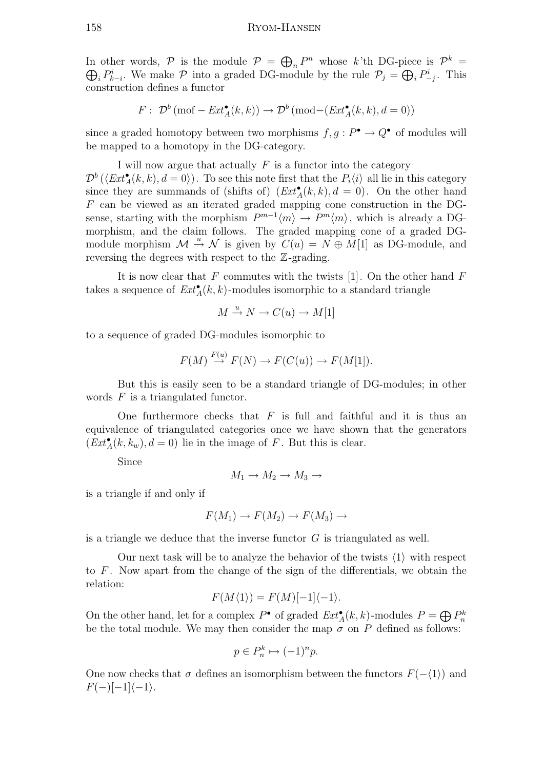In other words,  $P$  is the module  $P = \bigoplus_n P^n$  whose k'th DG-piece is  $P^k =$  $\bigoplus_i P_{k-i}^i$ . We make  $P$  into a graded DG-module by the rule  $P_j = \bigoplus_i P_{-j}^i$ . This construction defines a functor

$$
F: \ \mathcal{D}^b(\text{mof}-\mathit{Ext}_{\mathcal{A}}^{\bullet}(k,k)) \to \mathcal{D}^b(\text{mod}-(\mathit{Ext}_{\mathcal{A}}^{\bullet}(k,k),d=0))
$$

since a graded homotopy between two morphisms  $f, g : P^{\bullet} \to Q^{\bullet}$  of modules will be mapped to a homotopy in the DG-category.

I will now argue that actually  $F$  is a functor into the category  $\mathcal{D}^b(\langle \text{Ext}_{A}^{\bullet}(k, k), d = 0 \rangle)$ . To see this note first that the  $P_i\langle i \rangle$  all lie in this category since they are summands of (shifts of)  $(Ext_A^{\bullet}(k, k), d = 0)$ . On the other hand F can be viewed as an iterated graded mapping cone construction in the DGsense, starting with the morphism  $P^{m-1}(m) \to P^{m}(m)$ , which is already a DGmorphism, and the claim follows. The graded mapping cone of a graded DGmodule morphism  $\mathcal{M} \stackrel{u}{\rightarrow} \mathcal{N}$  is given by  $C(u) = N \oplus M[1]$  as DG-module, and reversing the degrees with respect to the Z-grading.

It is now clear that  $F$  commutes with the twists  $[1]$ . On the other hand  $F$ takes a sequence of  $\text{Ext}_{A}^{\bullet}(k, k)$ -modules isomorphic to a standard triangle

$$
M \xrightarrow{u} N \to C(u) \to M[1]
$$

to a sequence of graded DG-modules isomorphic to

$$
F(M) \stackrel{F(u)}{\to} F(N) \to F(C(u)) \to F(M[1]).
$$

But this is easily seen to be a standard triangle of DG-modules; in other words F is a triangulated functor.

One furthermore checks that  $F$  is full and faithful and it is thus an equivalence of triangulated categories once we have shown that the generators  $(Ext_A^{\bullet}(k, k_w), d = 0)$  lie in the image of F. But this is clear.

Since

$$
M_1 \to M_2 \to M_3 \to
$$

is a triangle if and only if

$$
F(M_1) \to F(M_2) \to F(M_3) \to
$$

is a triangle we deduce that the inverse functor  $G$  is triangulated as well.

Our next task will be to analyze the behavior of the twists  $\langle 1 \rangle$  with respect to  $F$ . Now apart from the change of the sign of the differentials, we obtain the relation:

$$
F(M\langle 1 \rangle) = F(M)[-1]\langle -1 \rangle.
$$

On the other hand, let for a complex  $P^{\bullet}$  of graded  $Ext_{A}^{\bullet}(k, k)$ -modules  $P = \bigoplus P_{n}^{k}$ be the total module. We may then consider the map  $\sigma$  on P defined as follows:

$$
p \in P_n^k \mapsto (-1)^n p.
$$

One now checks that  $\sigma$  defines an isomorphism between the functors  $F(-\langle 1 \rangle)$  and  $F(-)[-1]\langle -1\rangle.$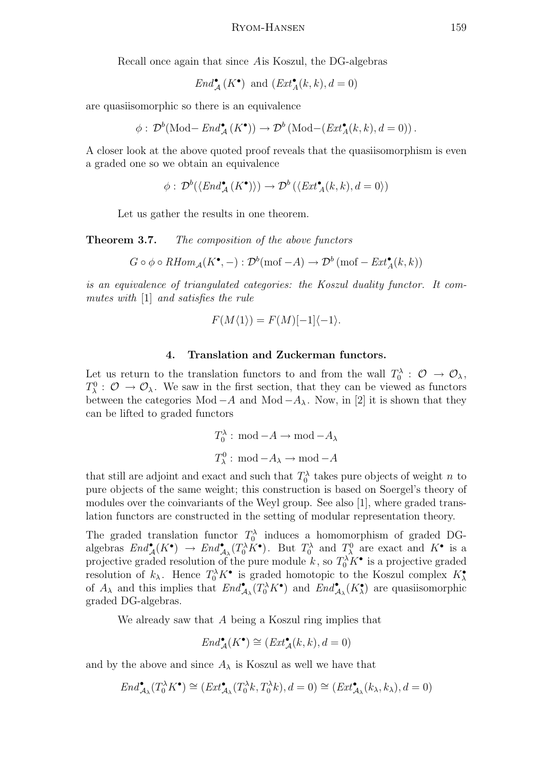Recall once again that since Ais Koszul, the DG-algebras

$$
End^{\bullet}_{\mathcal{A}}(K^{\bullet}) \text{ and } (Ext^{\bullet}_{\mathcal{A}}(k,k), d = 0)
$$

are quasiisomorphic so there is an equivalence

$$
\phi: \mathcal{D}^b(\text{Mod}-\text{End}_{\mathcal{A}}^{\bullet}(K^{\bullet})) \to \mathcal{D}^b(\text{Mod}-(\text{Ext}_{\mathcal{A}}^{\bullet}(k,k), d=0)).
$$

A closer look at the above quoted proof reveals that the quasiisomorphism is even a graded one so we obtain an equivalence

$$
\phi: \mathcal{D}^b(\langle End^{\bullet}_{\mathcal{A}}(K^{\bullet}) \rangle) \to \mathcal{D}^b(\langle Ext^{\bullet}_{\mathcal{A}}(k,k), d = 0 \rangle)
$$

Let us gather the results in one theorem.

**Theorem 3.7.** The composition of the above functors

$$
G \circ \phi \circ \mathit{RHom}_{\mathcal{A}}(K^{\bullet}, -) : \mathcal{D}^{b}(\text{mof} - A) \to \mathcal{D}^{b}(\text{mof} - \mathit{Ext}_{\mathcal{A}}^{\bullet}(k, k))
$$

is an equivalence of triangulated categories: the Koszul duality functor. It commutes with [1] and satisfies the rule

$$
F(M\langle 1 \rangle) = F(M)[-1]\langle -1 \rangle.
$$

# 4. Translation and Zuckerman functors.

Let us return to the translation functors to and from the wall  $T_0^{\lambda}$ :  $\mathcal{O} \rightarrow \mathcal{O}_{\lambda}$ ,  $T_{\lambda}^0$ :  $\mathcal{O} \to \mathcal{O}_{\lambda}$ . We saw in the first section, that they can be viewed as functors between the categories Mod  $-A$  and Mod  $-A_\lambda$ . Now, in [2] it is shown that they can be lifted to graded functors

$$
T_0^{\lambda} : \text{ mod } -A \to \text{ mod } -A_{\lambda}
$$

$$
T_{\lambda}^0 : \text{ mod } -A_{\lambda} \to \text{ mod } -A
$$

that still are adjoint and exact and such that  $T_0^{\lambda}$  takes pure objects of weight n to pure objects of the same weight; this construction is based on Soergel's theory of modules over the coinvariants of the Weyl group. See also [1], where graded translation functors are constructed in the setting of modular representation theory.

The graded translation functor  $T_0^{\lambda}$  induces a homomorphism of graded DGalgebras  $End_{\mathcal{A}}^{\bullet}(K^{\bullet}) \to End_{\mathcal{A}_{\lambda}}^{\bullet}(T_0^{\lambda}K^{\bullet})$ . But  $T_0^{\lambda}$  and  $T_{\lambda}^0$  are exact and  $K^{\bullet}$  is a projective graded resolution of the pure module  $k$ , so  $T_0^{\lambda} K^{\bullet}$  is a projective graded resolution of  $k_{\lambda}$ . Hence  $T_0^{\lambda} K^{\bullet}$  is graded homotopic to the Koszul complex  $K_{\lambda}^{\bullet}$ of  $A_\lambda$  and this implies that  $End_{\mathcal{A}_\lambda}^{\bullet}(T_0^{\lambda}K^{\bullet})$  and  $End_{\mathcal{A}_\lambda}^{\bullet}(K_\lambda^{\bullet})$  are quasiisomorphic graded DG-algebras.

We already saw that A being a Koszul ring implies that

$$
End_{\mathcal{A}}^{\bullet}(K^{\bullet}) \cong (Ext_{\mathcal{A}}^{\bullet}(k,k), d = 0)
$$

and by the above and since  $A_{\lambda}$  is Koszul as well we have that

$$
End^{\bullet}_{\mathcal{A}_{\lambda}}(T_0^{\lambda}K^{\bullet}) \cong (Ext^{\bullet}_{\mathcal{A}_{\lambda}}(T_0^{\lambda}k, T_0^{\lambda}k), d = 0) \cong (Ext^{\bullet}_{\mathcal{A}_{\lambda}}(k_{\lambda}, k_{\lambda}), d = 0)
$$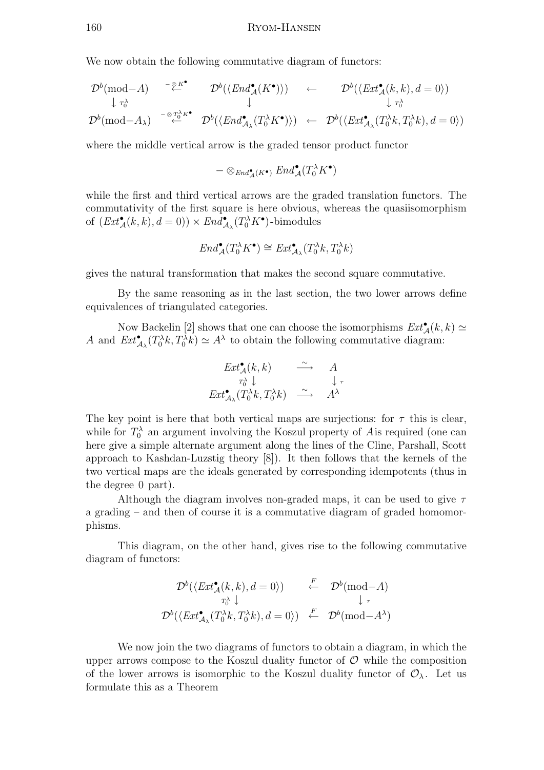We now obtain the following commutative diagram of functors:

$$
\mathcal{D}^{b}(\text{mod}-A) \quad \overset{-\underset{\leftarrow}{\otimes} K^{\bullet}}{\downarrow} \quad \mathcal{D}^{b}(\langle End_{\mathcal{A}}^{\bullet}(K^{\bullet}) \rangle) \quad \leftarrow \quad \mathcal{D}^{b}(\langle Ext_{\mathcal{A}}^{\bullet}(k,k), d=0 \rangle)
$$
\n
$$
\downarrow r_{0}^{\lambda}
$$
\n
$$
\mathcal{D}^{b}(\text{mod}-A_{\lambda}) \quad \overset{-\underset{\leftarrow}{\otimes} T_{0}^{\lambda} K^{\bullet}}{\longleftarrow} \quad \mathcal{D}^{b}(\langle End_{\mathcal{A}_{\lambda}}^{\bullet}(T_{0}^{\lambda} K^{\bullet}) \rangle) \quad \leftarrow \quad \mathcal{D}^{b}(\langle Ext_{\mathcal{A}_{\lambda}}^{\bullet}(T_{0}^{\lambda}k, T_{0}^{\lambda}k), d=0 \rangle)
$$

where the middle vertical arrow is the graded tensor product functor

$$
-\otimes_{\mathit{End}^\bullet_\mathcal{A}(K^\bullet)}\mathit{End}^\bullet_\mathcal{A}(T_0^\lambda K^\bullet)
$$

while the first and third vertical arrows are the graded translation functors. The commutativity of the first square is here obvious, whereas the quasiisomorphism of  $(Ext_{\mathcal{A}}^{\bullet}(k, k), d = 0)) \times End_{\mathcal{A}_{\lambda}}^{\bullet}(T_0^{\lambda} K^{\bullet})$ -bimodules

$$
End_{\mathcal{A}}^{\bullet}(T_0^{\lambda}K^{\bullet}) \cong Ext_{\mathcal{A}_{\lambda}}^{\bullet}(T_0^{\lambda}k, T_0^{\lambda}k)
$$

gives the natural transformation that makes the second square commutative.

By the same reasoning as in the last section, the two lower arrows define equivalences of triangulated categories.

Now Backelin [2] shows that one can choose the isomorphisms  $Ext^{\bullet}_{\mathcal{A}}(k, k) \simeq$ A and  $Ext^{\bullet}_{\mathcal{A}_{\lambda}}(T_0^{\lambda}k, T_0^{\lambda}k) \simeq A^{\lambda}$  to obtain the following commutative diagram:

$$
\begin{array}{ccc}\nExt^{\bullet}_{\mathcal{A}}(k,k) & \stackrel{\sim}{\longrightarrow} & A \\
\uparrow_{\alpha}^{\lambda} \downarrow & & \downarrow \tau \\
Ext^{\bullet}_{\mathcal{A}_{\lambda}}(T_0^{\lambda}k, T_0^{\lambda}k) & \stackrel{\sim}{\longrightarrow} & A^{\lambda}\n\end{array}
$$

The key point is here that both vertical maps are surjections: for  $\tau$  this is clear, while for  $T_0^{\lambda}$  an argument involving the Koszul property of Ais required (one can here give a simple alternate argument along the lines of the Cline, Parshall, Scott approach to Kashdan-Luzstig theory [8]). It then follows that the kernels of the two vertical maps are the ideals generated by corresponding idempotents (thus in the degree 0 part).

Although the diagram involves non-graded maps, it can be used to give  $\tau$ a grading – and then of course it is a commutative diagram of graded homomorphisms.

This diagram, on the other hand, gives rise to the following commutative diagram of functors:

$$
\mathcal{D}^b(\langle \text{Ext}^{\bullet}_{\mathcal{A}}(k,k), d = 0 \rangle) \qquad \overset{F}{\leftarrow} \quad \mathcal{D}^b(\text{mod} - A)
$$
  

$$
\downarrow_{\tau}
$$
  

$$
\mathcal{D}^b(\langle \text{Ext}^{\bullet}_{\mathcal{A}_{\lambda}}(T_0^{\lambda}k, T_0^{\lambda}k), d = 0 \rangle) \qquad \overset{F}{\leftarrow} \quad \mathcal{D}^b(\text{mod} - A^{\lambda})
$$

We now join the two diagrams of functors to obtain a diagram, in which the upper arrows compose to the Koszul duality functor of  $\mathcal O$  while the composition of the lower arrows is isomorphic to the Koszul duality functor of  $\mathcal{O}_{\lambda}$ . Let us formulate this as a Theorem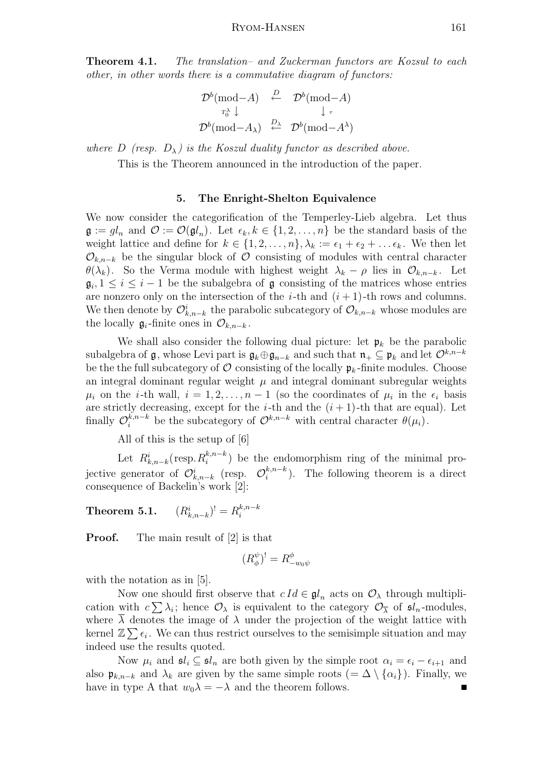**Theorem 4.1.** The translation– and Zuckerman functors are Kozsul to each other, in other words there is a commutative diagram of functors:

$$
\mathcal{D}^b(\text{mod}-A) \xrightarrow{D} \mathcal{D}^b(\text{mod}-A)
$$
  

$$
\tau_0^{\lambda} \downarrow \qquad \qquad \downarrow \tau
$$
  

$$
\mathcal{D}^b(\text{mod}-A_{\lambda}) \xrightarrow{D_{\lambda}} \mathcal{D}^b(\text{mod}-A^{\lambda})
$$

where D (resp.  $D_{\lambda}$ ) is the Koszul duality functor as described above.

This is the Theorem announced in the introduction of the paper.

# 5. The Enright-Shelton Equivalence

We now consider the categorification of the Temperley-Lieb algebra. Let thus  $\mathfrak{g} := gl_n$  and  $\mathcal{O} := \mathcal{O}(\mathfrak{gl}_n)$ . Let  $\epsilon_k, k \in \{1, 2, \ldots, n\}$  be the standard basis of the weight lattice and define for  $k \in \{1, 2, ..., n\}, \lambda_k := \epsilon_1 + \epsilon_2 + ... \epsilon_k$ . We then let  $\mathcal{O}_{k,n-k}$  be the singular block of  $\mathcal O$  consisting of modules with central character  $\theta(\lambda_k)$ . So the Verma module with highest weight  $\lambda_k - \rho$  lies in  $\mathcal{O}_{k,n-k}$ . Let  $\mathfrak{g}_i, 1 \leq i \leq i-1$  be the subalgebra of  $\mathfrak g$  consisting of the matrices whose entries are nonzero only on the intersection of the *i*-th and  $(i + 1)$ -th rows and columns. We then denote by  $\mathcal{O}_{k,n-k}^i$  the parabolic subcategory of  $\mathcal{O}_{k,n-k}$  whose modules are the locally  $\mathfrak{g}_i$ -finite ones in  $\mathcal{O}_{k,n-k}$ .

We shall also consider the following dual picture: let  $\mathfrak{p}_k$  be the parabolic subalgebra of  $\mathfrak{g}$ , whose Levi part is  $\mathfrak{g}_k \oplus \mathfrak{g}_{n-k}$  and such that  $\mathfrak{n}_+ \subseteq \mathfrak{p}_k$  and let  $\mathcal{O}^{k,n-k}$ be the full subcategory of  $\mathcal O$  consisting of the locally  $\mathfrak p_k$ -finite modules. Choose an integral dominant regular weight  $\mu$  and integral dominant subregular weights  $\mu_i$  on the *i*-th wall,  $i = 1, 2, ..., n-1$  (so the coordinates of  $\mu_i$  in the  $\epsilon_i$  basis are strictly decreasing, except for the *i*-th and the  $(i + 1)$ -th that are equal). Let finally  $\mathcal{O}_i^{k,n-k}$  be the subcategory of  $\mathcal{O}^{k,n-k}$  with central character  $\theta(\mu_i)$ .

All of this is the setup of [6]

Let  $R_{k,n-k}^i(\text{resp. } R_i^{k,n-k})$  $\binom{k,n-k}{i}$  be the endomorphism ring of the minimal projective generator of  $\mathcal{O}_{k,n-k}^i$  (resp.  $\mathcal{O}_i^{k,n-k}$  $i^{k,n-k}$ ). The following theorem is a direct consequence of Backelin's work [2]:

Theorem 5.1.  $(k_{n-k})^! = R_i^{k,n-k}$ i

**Proof.** The main result of [2] is that

$$
(R^{\psi}_{\phi})^! = R^{\phi}_{-w_0\psi}
$$

with the notation as in [5].

Now one should first observe that  $c Id \in \mathfrak{gl}_n$  acts on  $\mathcal{O}_{\lambda}$  through multiplication with  $c \sum \lambda_i$ ; hence  $\mathcal{O}_{\lambda}$  is equivalent to the category  $\mathcal{O}_{\overline{\lambda}}$  of  $\mathfrak{sl}_n$ -modules, where  $\lambda$  denotes the image of  $\lambda$  under the projection of the weight lattice with kernel  $\mathbb{Z}\sum \epsilon_i$ . We can thus restrict ourselves to the semisimple situation and may indeed use the results quoted.

Now  $\mu_i$  and  $\mathfrak{sl}_i \subseteq \mathfrak{sl}_n$  are both given by the simple root  $\alpha_i = \epsilon_i - \epsilon_{i+1}$  and also  $\mathfrak{p}_{k,n-k}$  and  $\lambda_k$  are given by the same simple roots  $(=\Delta \setminus {\{\alpha_i\}})$ . Finally, we have in type A that  $w_0\lambda = -\lambda$  and the theorem follows.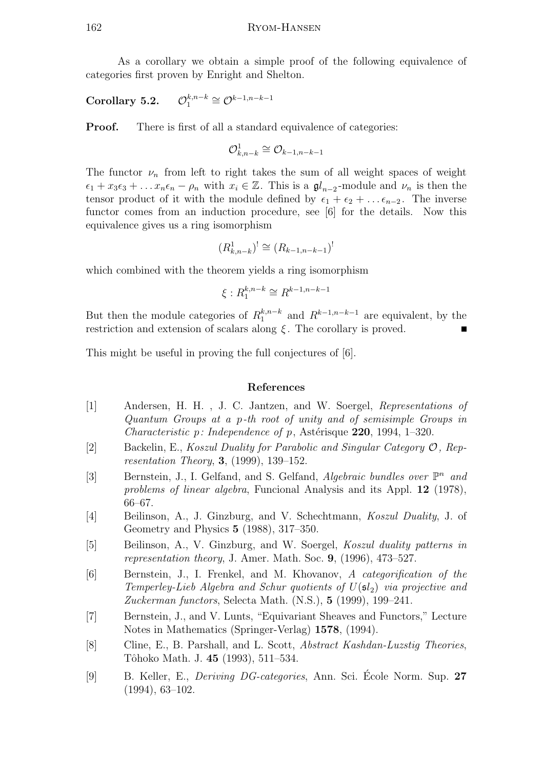As a corollary we obtain a simple proof of the following equivalence of categories first proven by Enright and Shelton.

Corollary 5.2.  $_{k,n-k}$  $n^{k,n-k} \cong \mathcal{O}^{k-1,n-k-1}$ 

**Proof.** There is first of all a standard equivalence of categories:

$$
\mathcal{O}_{k,n-k}^1\cong \mathcal{O}_{k-1,n-k-1}
$$

The functor  $\nu_n$  from left to right takes the sum of all weight spaces of weight  $\epsilon_1 + x_3 \epsilon_3 + \ldots x_n \epsilon_n - \rho_n$  with  $x_i \in \mathbb{Z}$ . This is a  $\mathfrak{gl}_{n-2}$ -module and  $\nu_n$  is then the tensor product of it with the module defined by  $\epsilon_1 + \epsilon_2 + \ldots + \epsilon_{n-2}$ . The inverse functor comes from an induction procedure, see [6] for the details. Now this equivalence gives us a ring isomorphism

$$
(R_{k,n-k}^1)^! \cong (R_{k-1,n-k-1})^!
$$

which combined with the theorem yields a ring isomorphism

$$
\xi: R_1^{k,n-k} \cong R^{k-1,n-k-1}
$$

But then the module categories of  $R_1^{k,n-k}$  $k_n^{k,n-k}$  and  $R^{k-1,n-k-1}$  are equivalent, by the restriction and extension of scalars along  $\xi$ . The corollary is proved.

This might be useful in proving the full conjectures of [6].

### References

- [1] Andersen, H. H. , J. C. Jantzen, and W. Soergel, Representations of Quantum Groups at a p-th root of unity and of semisimple Groups in *Characteristic p: Independence of p, Astérisque* 220, 1994, 1–320.
- [2] Backelin, E., Koszul Duality for Parabolic and Singular Category O, Representation Theory, 3, (1999), 139–152.
- [3] Bernstein, J., I. Gelfand, and S. Gelfand, Algebraic bundles over  $\mathbb{P}^n$  and problems of linear algebra, Funcional Analysis and its Appl. 12 (1978), 66–67.
- [4] Beilinson, A., J. Ginzburg, and V. Schechtmann, Koszul Duality, J. of Geometry and Physics 5 (1988), 317–350.
- [5] Beilinson, A., V. Ginzburg, and W. Soergel, Koszul duality patterns in representation theory, J. Amer. Math. Soc. 9, (1996), 473–527.
- [6] Bernstein, J., I. Frenkel, and M. Khovanov, A categorification of the Temperley-Lieb Algebra and Schur quotients of  $U(\mathfrak{sl}_2)$  via projective and Zuckerman functors, Selecta Math. (N.S.), 5 (1999), 199–241.
- [7] Bernstein, J., and V. Lunts, "Equivariant Sheaves and Functors," Lecture Notes in Mathematics (Springer-Verlag) 1578, (1994).
- [8] Cline, E., B. Parshall, and L. Scott, Abstract Kashdan-Luzstig Theories, Tôhoko Math. J. **45** (1993), 511–534.
- [9] B. Keller, E., *Deriving DG-categories*, Ann. Sci. École Norm. Sup. 27 (1994), 63–102.